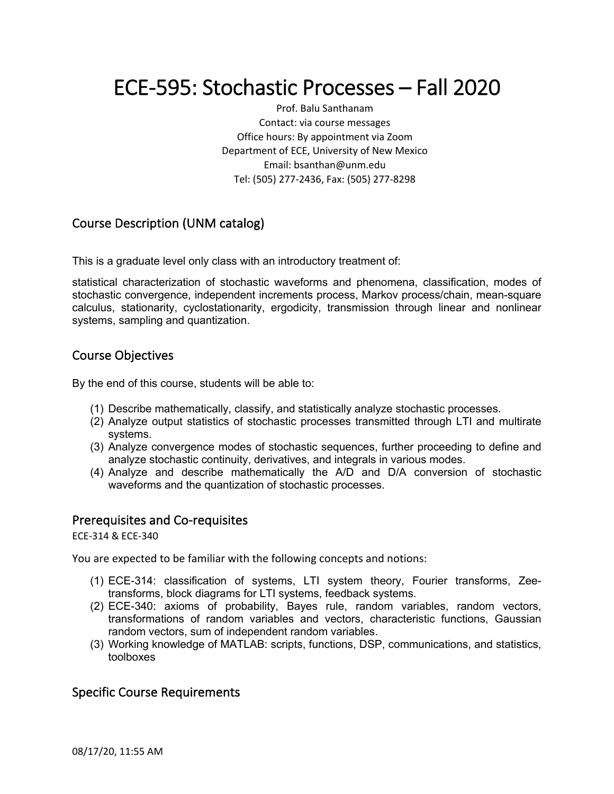# ECE-595: Stochastic Processes – Fall 2020

Prof. Balu Santhanam Contact: via course messages Office hours: By appointment via Zoom Department of ECE, University of New Mexico Email: bsanthan@unm.edu Tel: (505) 277-2436, Fax: (505) 277-8298

# Course Description (UNM catalog)

This is a graduate level only class with an introductory treatment of:

statistical characterization of stochastic waveforms and phenomena, classification, modes of stochastic convergence, independent increments process, Markov process/chain, mean-square calculus, stationarity, cyclostationarity, ergodicity, transmission through linear and nonlinear systems, sampling and quantization.

## Course Objectives

By the end of this course, students will be able to:

- (1) Describe mathematically, classify, and statistically analyze stochastic processes.
- (2) Analyze output statistics of stochastic processes transmitted through LTI and multirate systems.
- (3) Analyze convergence modes of stochastic sequences, further proceeding to define and analyze stochastic continuity, derivatives, and integrals in various modes.
- (4) Analyze and describe mathematically the A/D and D/A conversion of stochastic waveforms and the quantization of stochastic processes.

## Prerequisites and Co-requisites

ECE-314 & ECE-340

You are expected to be familiar with the following concepts and notions:

- (1) ECE-314: classification of systems, LTI system theory, Fourier transforms, Zeetransforms, block diagrams for LTI systems, feedback systems.
- (2) ECE-340: axioms of probability, Bayes rule, random variables, random vectors, transformations of random variables and vectors, characteristic functions, Gaussian random vectors, sum of independent random variables.
- (3) Working knowledge of MATLAB: scripts, functions, DSP, communications, and statistics, toolboxes

## Specific Course Requirements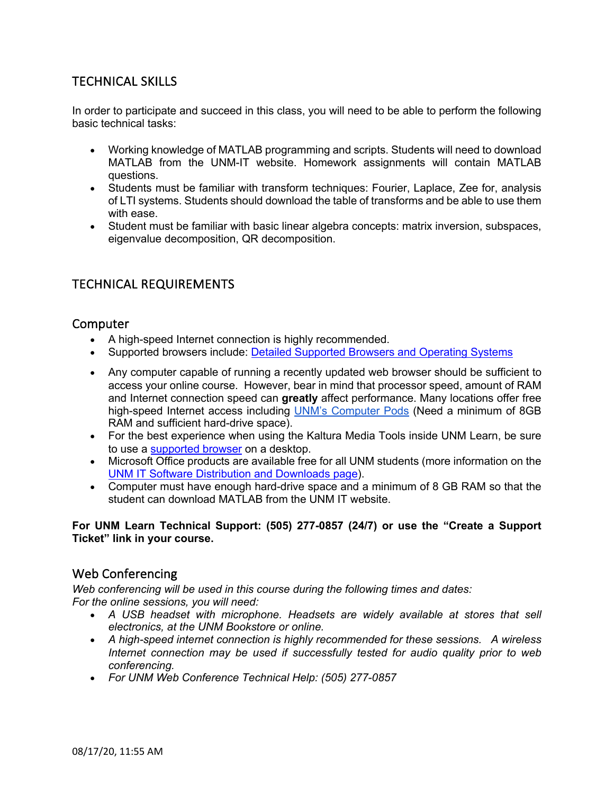# TECHNICAL SKILLS

In order to participate and succeed in this class, you will need to be able to perform the following basic technical tasks:

- Working knowledge of MATLAB programming and scripts. Students will need to download MATLAB from the UNM-IT website. Homework assignments will contain MATLAB questions.
- Students must be familiar with transform techniques: Fourier, Laplace, Zee for, analysis of LTI systems. Students should download the table of transforms and be able to use them with ease.
- Student must be familiar with basic linear algebra concepts: matrix inversion, subspaces, eigenvalue decomposition, QR decomposition.

# TECHNICAL REQUIREMENTS

## Computer

- A high-speed Internet connection is highly recommended.
- Supported browsers include: Detailed Supported Browsers and Operating Systems
- Any computer capable of running a recently updated web browser should be sufficient to access your online course. However, bear in mind that processor speed, amount of RAM and Internet connection speed can **greatly** affect performance. Many locations offer free high-speed Internet access including UNM's Computer Pods (Need a minimum of 8GB RAM and sufficient hard-drive space).
- For the best experience when using the Kaltura Media Tools inside UNM Learn, be sure to use a supported browser on a desktop.
- Microsoft Office products are available free for all UNM students (more information on the UNM IT Software Distribution and Downloads page).
- Computer must have enough hard-drive space and a minimum of 8 GB RAM so that the student can download MATLAB from the UNM IT website.

#### **For UNM Learn Technical Support: (505) 277-0857 (24/7) or use the "Create a Support Ticket" link in your course.**

## Web Conferencing

*Web conferencing will be used in this course during the following times and dates: For the online sessions, you will need:*

- A USB headset with microphone. Headsets are widely available at stores that sell *electronics, at the UNM Bookstore or online.*
- *A high-speed internet connection is highly recommended for these sessions. A wireless Internet connection may be used if successfully tested for audio quality prior to web conferencing.*
- *For UNM Web Conference Technical Help: (505) 277-0857*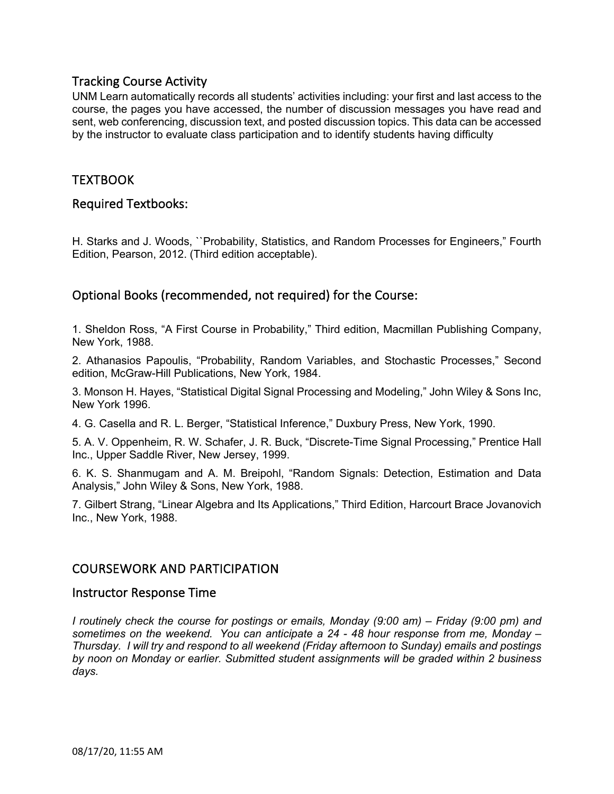## Tracking Course Activity

UNM Learn automatically records all students' activities including: your first and last access to the course, the pages you have accessed, the number of discussion messages you have read and sent, web conferencing, discussion text, and posted discussion topics. This data can be accessed by the instructor to evaluate class participation and to identify students having difficulty

# TEXTBOOK

## Required Textbooks:

H. Starks and J. Woods, ``Probability, Statistics, and Random Processes for Engineers," Fourth Edition, Pearson, 2012. (Third edition acceptable).

# Optional Books (recommended, not required) for the Course:

1. Sheldon Ross, "A First Course in Probability," Third edition, Macmillan Publishing Company, New York, 1988.

2. Athanasios Papoulis, "Probability, Random Variables, and Stochastic Processes," Second edition, McGraw-Hill Publications, New York, 1984.

3. Monson H. Hayes, "Statistical Digital Signal Processing and Modeling," John Wiley & Sons Inc, New York 1996.

4. G. Casella and R. L. Berger, "Statistical Inference," Duxbury Press, New York, 1990.

5. A. V. Oppenheim, R. W. Schafer, J. R. Buck, "Discrete-Time Signal Processing," Prentice Hall Inc., Upper Saddle River, New Jersey, 1999.

6. K. S. Shanmugam and A. M. Breipohl, "Random Signals: Detection, Estimation and Data Analysis," John Wiley & Sons, New York, 1988.

7. Gilbert Strang, "Linear Algebra and Its Applications," Third Edition, Harcourt Brace Jovanovich Inc., New York, 1988.

## COURSEWORK AND PARTICIPATION

#### Instructor Response Time

*I routinely check the course for postings or emails, Monday (9:00 am) – Friday (9:00 pm) and sometimes on the weekend. You can anticipate a 24 - 48 hour response from me, Monday – Thursday. I will try and respond to all weekend (Friday afternoon to Sunday) emails and postings by noon on Monday or earlier. Submitted student assignments will be graded within 2 business days.*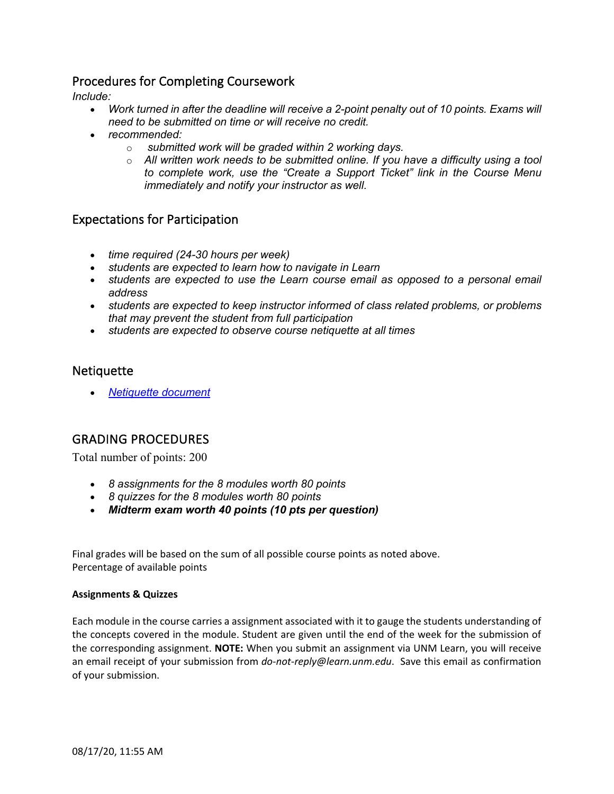# Procedures for Completing Coursework

*Include:*

- *Work turned in after the deadline will receive a 2-point penalty out of 10 points. Exams will need to be submitted on time or will receive no credit.*
- *recommended:*
	- o *submitted work will be graded within 2 working days.*
	- o *All written work needs to be submitted online. If you have a difficulty using a tool to complete work, use the "Create a Support Ticket" link in the Course Menu immediately and notify your instructor as well.*

## Expectations for Participation

- *time required (24-30 hours per week)*
- *students are expected to learn how to navigate in Learn*
- *students are expected to use the Learn course email as opposed to a personal email address*
- *students are expected to keep instructor informed of class related problems, or problems that may prevent the student from full participation*
- *students are expected to observe course netiquette at all times*

## **Netiquette**

• *Netiquette document*

## GRADING PROCEDURES

Total number of points: 200

- *8 assignments for the 8 modules worth 80 points*
- *8 quizzes for the 8 modules worth 80 points*
- *Midterm exam worth 40 points (10 pts per question)*

Final grades will be based on the sum of all possible course points as noted above. Percentage of available points

#### **Assignments & Quizzes**

Each module in the course carries a assignment associated with it to gauge the students understanding of the concepts covered in the module. Student are given until the end of the week for the submission of the corresponding assignment. **NOTE:** When you submit an assignment via UNM Learn, you will receive an email receipt of your submission from *do-not-reply@learn.unm.edu*. Save this email as confirmation of your submission.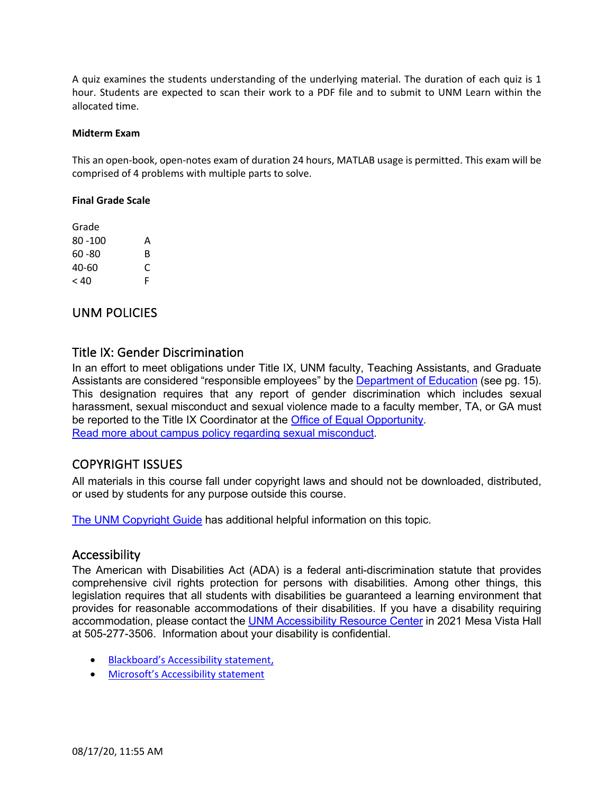A quiz examines the students understanding of the underlying material. The duration of each quiz is 1 hour. Students are expected to scan their work to a PDF file and to submit to UNM Learn within the allocated time.

#### **Midterm Exam**

This an open-book, open-notes exam of duration 24 hours, MATLAB usage is permitted. This exam will be comprised of 4 problems with multiple parts to solve.

#### **Final Grade Scale**

| Grade     |   |
|-----------|---|
| 80 -100   | А |
| $60 - 80$ | R |
| 40-60     | C |
| < 40      | F |

## UNM POLICIES

## Title IX: Gender Discrimination

In an effort to meet obligations under Title IX, UNM faculty, Teaching Assistants, and Graduate Assistants are considered "responsible employees" by the Department of Education (see pg. 15). This designation requires that any report of gender discrimination which includes sexual harassment, sexual misconduct and sexual violence made to a faculty member, TA, or GA must be reported to the Title IX Coordinator at the Office of Equal Opportunity. Read more about campus policy regarding sexual misconduct.

## COPYRIGHT ISSUES

All materials in this course fall under copyright laws and should not be downloaded, distributed, or used by students for any purpose outside this course.

The UNM Copyright Guide has additional helpful information on this topic.

## Accessibility

The American with Disabilities Act (ADA) is a federal anti-discrimination statute that provides comprehensive civil rights protection for persons with disabilities. Among other things, this legislation requires that all students with disabilities be guaranteed a learning environment that provides for reasonable accommodations of their disabilities. If you have a disability requiring accommodation, please contact the UNM Accessibility Resource Center in 2021 Mesa Vista Hall at 505-277-3506. Information about your disability is confidential.

- Blackboard's Accessibility statement,
- Microsoft's Accessibility statement